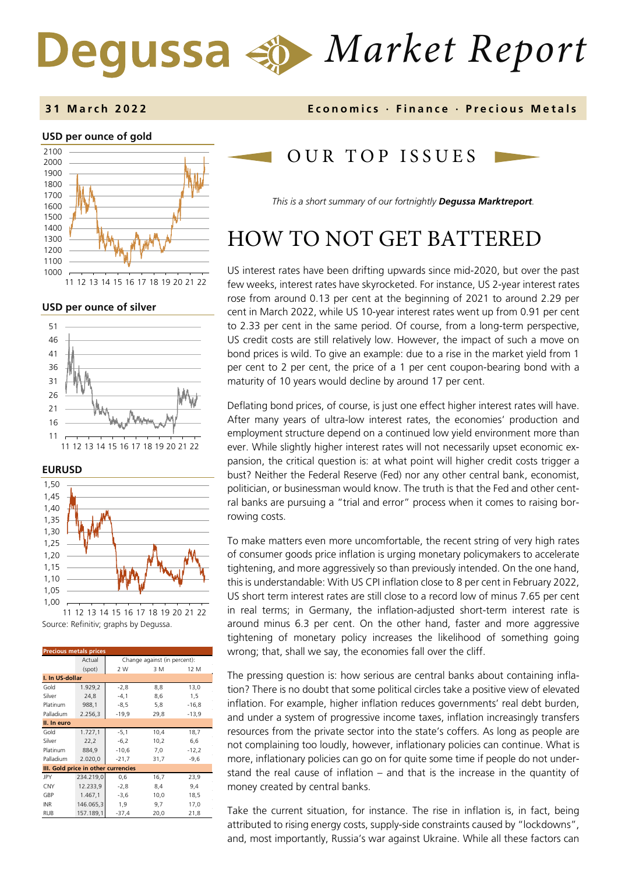# *Market Report* Degussa

#### **3 1 March 202 2 Economics · Finance · Precious Metals**

#### **USD per ounce of gold**  1000 1100 1200 1300 1400 1500 1600 1700 1800 1900 2000 2100 11 12 13 14 15 16 17 18 19 20 21 22

**USD per ounce of silver** 



**EURUSD** 



Source: Refinitiv; graphs by Degussa. 11 12 13 14 15 16 17 18 19 20 21 22

| <b>Precious metals prices</b>       |           |                              |      |         |  |  |
|-------------------------------------|-----------|------------------------------|------|---------|--|--|
|                                     | Actual    | Change against (in percent): |      |         |  |  |
|                                     | (spot)    | 2 W                          | 3 M  | 12 M    |  |  |
| I. In US-dollar                     |           |                              |      |         |  |  |
| Gold                                | 1.929,2   | $-2,8$                       | 8,8  | 13,0    |  |  |
| Silver                              | 24,8      | $-4,1$                       | 8,6  | 1,5     |  |  |
| Platinum                            | 988,1     | $-8,5$                       | 5,8  | $-16,8$ |  |  |
| Palladium                           | 2.256,3   | $-19,9$                      | 29,8 | $-13,9$ |  |  |
| II. In euro                         |           |                              |      |         |  |  |
| Gold                                | 1.727,1   | $-5,1$                       | 10,4 | 18,7    |  |  |
| Silver                              | 22,2      | $-6,2$                       | 10,2 | 6,6     |  |  |
| Platinum                            | 884,9     | $-10,6$                      | 7,0  | $-12,2$ |  |  |
| Palladium                           | 2.020,0   | $-21,7$                      | 31,7 | $-9,6$  |  |  |
| III. Gold price in other currencies |           |                              |      |         |  |  |
| JPY                                 | 234.219,0 | 0,6                          | 16,7 | 23,9    |  |  |
| <b>CNY</b>                          | 12.233,9  | $-2,8$                       | 8,4  | 9,4     |  |  |
| GBP                                 | 1.467.1   | $-3,6$                       | 10,0 | 18,5    |  |  |
| <b>INR</b>                          | 146.065,3 | 1,9                          | 9,7  | 17,0    |  |  |
| <b>RUB</b>                          | 157.189,1 | $-37,4$                      | 20,0 | 21,8    |  |  |

### OUR TOP ISSUE S

*This is a short summary of our fortnightly Degussa Marktreport.* 

## HOW TO NOT GET BATTERED

US interest rates have been drifting upwards since mid-2020, but over the past few weeks, interest rates have skyrocketed. For instance, US 2-year interest rates rose from around 0.13 per cent at the beginning of 2021 to around 2.29 per cent in March 2022, while US 10-year interest rates went up from 0.91 per cent to 2.33 per cent in the same period. Of course, from a long-term perspective, US credit costs are still relatively low. However, the impact of such a move on bond prices is wild. To give an example: due to a rise in the market yield from 1 per cent to 2 per cent, the price of a 1 per cent coupon-bearing bond with a maturity of 10 years would decline by around 17 per cent.

Deflating bond prices, of course, is just one effect higher interest rates will have. After many years of ultra-low interest rates, the economies' production and employment structure depend on a continued low yield environment more than ever. While slightly higher interest rates will not necessarily upset economic expansion, the critical question is: at what point will higher credit costs trigger a bust? Neither the Federal Reserve (Fed) nor any other central bank, economist, politician, or businessman would know. The truth is that the Fed and other central banks are pursuing a "trial and error" process when it comes to raising borrowing costs.

To make matters even more uncomfortable, the recent string of very high rates of consumer goods price inflation is urging monetary policymakers to accelerate tightening, and more aggressively so than previously intended. On the one hand, this is understandable: With US CPI inflation close to 8 per cent in February 2022, US short term interest rates are still close to a record low of minus 7.65 per cent in real terms; in Germany, the inflation-adjusted short-term interest rate is around minus 6.3 per cent. On the other hand, faster and more aggressive tightening of monetary policy increases the likelihood of something going wrong; that, shall we say, the economies fall over the cliff.

The pressing question is: how serious are central banks about containing inflation? There is no doubt that some political circles take a positive view of elevated inflation. For example, higher inflation reduces governments' real debt burden, and under a system of progressive income taxes, inflation increasingly transfers resources from the private sector into the state's coffers. As long as people are not complaining too loudly, however, inflationary policies can continue. What is more, inflationary policies can go on for quite some time if people do not understand the real cause of inflation – and that is the increase in the quantity of money created by central banks.

Take the current situation, for instance. The rise in inflation is, in fact, being attributed to rising energy costs, supply-side constraints caused by "lockdowns", and, most importantly, Russia's war against Ukraine. While all these factors can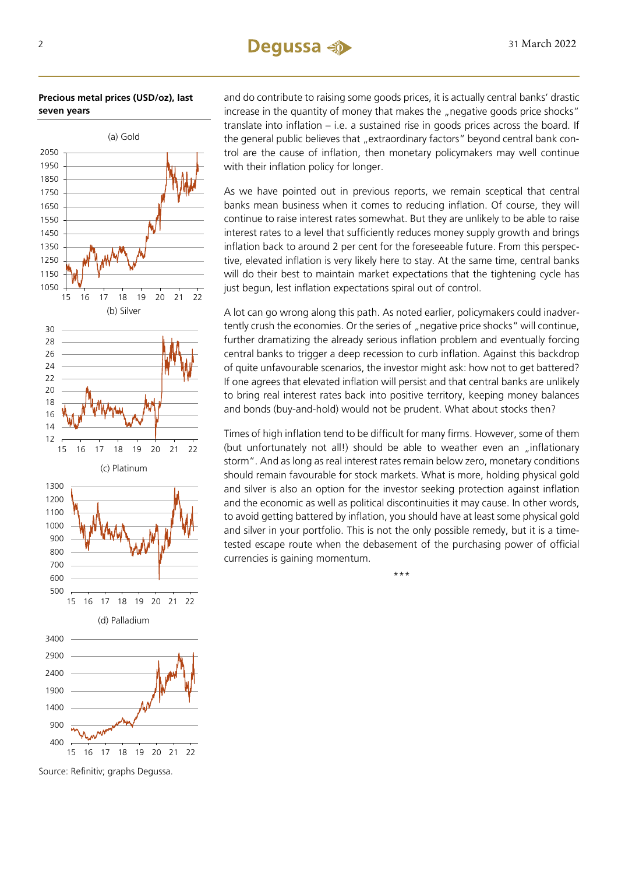#### **Precious metal prices (USD/oz), last seven years**



Source: Refinitiv; graphs Degussa.

and do contribute to raising some goods prices, it is actually central banks' drastic increase in the quantity of money that makes the "negative goods price shocks" translate into inflation – i.e. a sustained rise in goods prices across the board. If the general public believes that "extraordinary factors" beyond central bank control are the cause of inflation, then monetary policymakers may well continue with their inflation policy for longer.

As we have pointed out in previous reports, we remain sceptical that central banks mean business when it comes to reducing inflation. Of course, they will continue to raise interest rates somewhat. But they are unlikely to be able to raise interest rates to a level that sufficiently reduces money supply growth and brings inflation back to around 2 per cent for the foreseeable future. From this perspective, elevated inflation is very likely here to stay. At the same time, central banks will do their best to maintain market expectations that the tightening cycle has just begun, lest inflation expectations spiral out of control.

A lot can go wrong along this path. As noted earlier, policymakers could inadvertently crush the economies. Or the series of "negative price shocks" will continue, further dramatizing the already serious inflation problem and eventually forcing central banks to trigger a deep recession to curb inflation. Against this backdrop of quite unfavourable scenarios, the investor might ask: how not to get battered? If one agrees that elevated inflation will persist and that central banks are unlikely to bring real interest rates back into positive territory, keeping money balances and bonds (buy-and-hold) would not be prudent. What about stocks then?

Times of high inflation tend to be difficult for many firms. However, some of them (but unfortunately not all!) should be able to weather even an "inflationary storm". And as long as real interest rates remain below zero, monetary conditions should remain favourable for stock markets. What is more, holding physical gold and silver is also an option for the investor seeking protection against inflation and the economic as well as political discontinuities it may cause. In other words, to avoid getting battered by inflation, you should have at least some physical gold and silver in your portfolio. This is not the only possible remedy, but it is a timetested escape route when the debasement of the purchasing power of official currencies is gaining momentum.

\*\*\*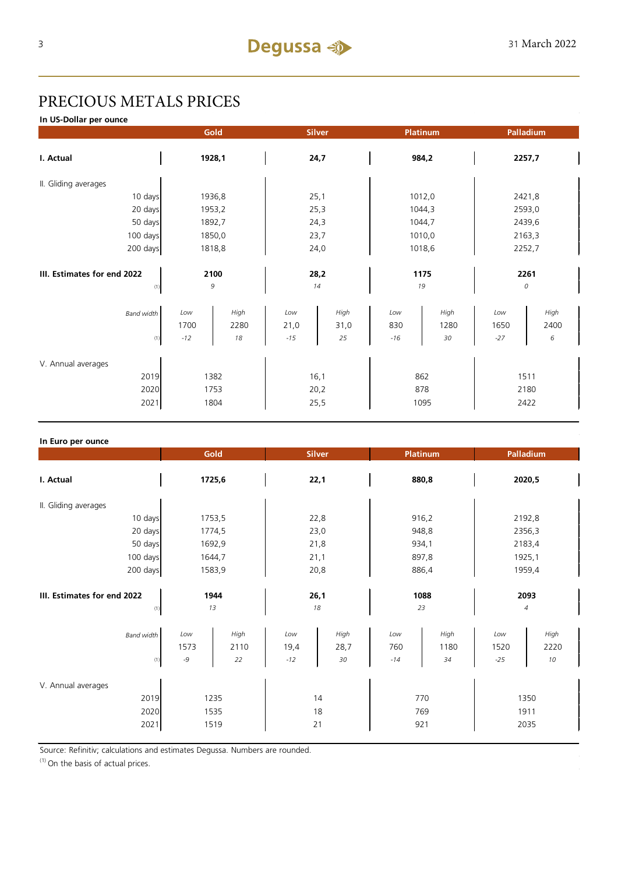### PRECIOUS METALS PRICES

**In US-Dollar per ounce**

|                                            | Gold<br><b>Silver</b><br>Platinum |                    |                      | Palladium          |                     |                    |                      |                   |
|--------------------------------------------|-----------------------------------|--------------------|----------------------|--------------------|---------------------|--------------------|----------------------|-------------------|
| I. Actual                                  | 1928,1                            |                    | 24,7                 |                    | 984,2               |                    | 2257,7               |                   |
| II. Gliding averages                       |                                   |                    |                      |                    |                     |                    |                      |                   |
| 10 days                                    |                                   | 1936,8             | 25,1                 |                    | 1012,0              |                    | 2421,8               |                   |
| 20 days                                    |                                   | 1953,2             | 25,3                 |                    | 1044,3              |                    | 2593,0               |                   |
| 50 days                                    | 1892,7                            |                    | 24,3                 |                    | 1044,7              |                    | 2439,6               |                   |
| 100 days                                   | 1850,0                            |                    | 23,7                 |                    | 1010,0              |                    | 2163,3               |                   |
| 200 days                                   | 1818,8                            |                    | 24,0                 |                    | 1018,6              |                    | 2252,7               |                   |
|                                            |                                   |                    |                      |                    |                     |                    |                      |                   |
| III. Estimates for end 2022                | 2100                              |                    | 28,2                 |                    | 1175                |                    | 2261                 |                   |
| (1)                                        |                                   | 9                  |                      | 14                 | 19                  |                    |                      | 0                 |
| <b>Band width</b><br>(1)                   | Low<br>1700<br>$-12$              | High<br>2280<br>18 | Low<br>21,0<br>$-15$ | High<br>31,0<br>25 | Low<br>830<br>$-16$ | High<br>1280<br>30 | Low<br>1650<br>$-27$ | High<br>2400<br>6 |
| V. Annual averages<br>2019<br>2020<br>2021 | 1382<br>1753<br>1804              |                    | 16,1<br>20,2<br>25,5 |                    | 862<br>878<br>1095  |                    | 1511<br>2180<br>2422 |                   |

| In Euro per ounce                          |                                         |                      |                    |                                           |                                              |  |
|--------------------------------------------|-----------------------------------------|----------------------|--------------------|-------------------------------------------|----------------------------------------------|--|
|                                            | Gold                                    | <b>Silver</b>        |                    | Platinum                                  | Palladium                                    |  |
| I. Actual                                  | 1725,6                                  | 22,1                 |                    | 880,8                                     | 2020,5                                       |  |
| II. Gliding averages                       |                                         |                      |                    |                                           |                                              |  |
| 10 days                                    | 1753,5                                  | 22,8                 |                    | 916,2                                     | 2192,8                                       |  |
| 20 days                                    | 1774,5                                  | 23,0                 |                    | 948,8                                     | 2356,3                                       |  |
| 50 days                                    | 1692,9                                  | 21,8                 |                    | 934,1                                     | 2183,4                                       |  |
| 100 days                                   | 1644,7                                  | 21,1                 |                    | 897,8                                     | 1925,1                                       |  |
| 200 days                                   | 1583,9                                  | 20,8                 |                    | 886,4                                     | 1959,4                                       |  |
| III. Estimates for end 2022<br>(1)         | 1944<br>13                              |                      |                    | 1088<br>23                                | 2093<br>$\sqrt{4}$                           |  |
| <b>Band width</b><br>(1)                   | High<br>Low<br>1573<br>2110<br>-9<br>22 | Low<br>19,4<br>$-12$ | High<br>28,7<br>30 | High<br>Low<br>760<br>1180<br>$-14$<br>34 | High<br>Low<br>1520<br>2220<br>$10$<br>$-25$ |  |
| V. Annual averages<br>2019<br>2020<br>2021 | 1235<br>1535<br>1519                    | 14<br>18<br>21       |                    | 770<br>769<br>921                         | 1350<br>1911<br>2035                         |  |

Source: Refinitiv; calculations and estimates Degussa. Numbers are rounded.

 $(1)$  On the basis of actual prices.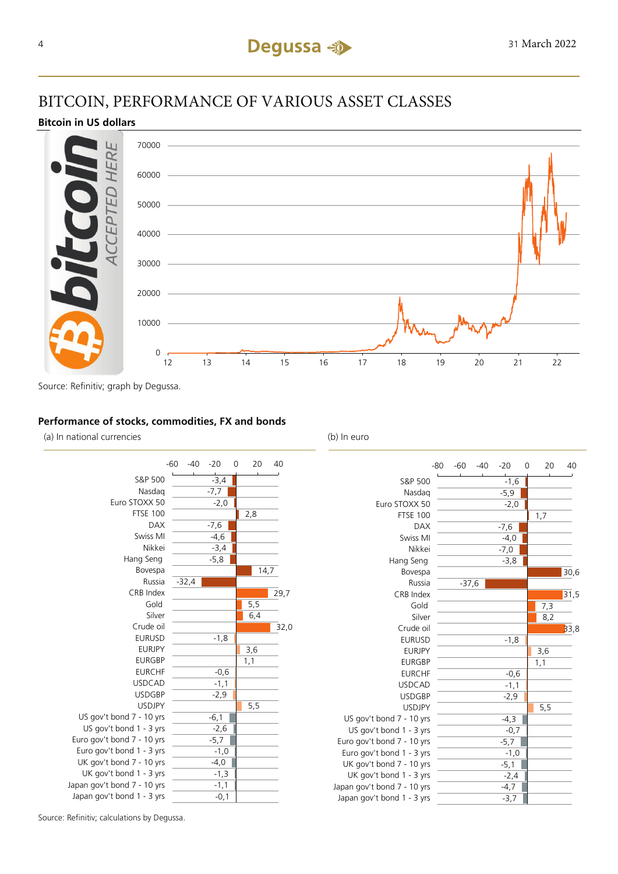### BITCOIN, PERFORMANCE OF VARIOUS ASSET CLASSES

#### **Bitcoin in US dollars**



Source: Refinitiv; graph by Degussa.

#### **Performance of stocks, commodities, FX and bonds**

(a) In national currencies (b) In euro



Japan

|                            | $-80$ | $-60$   | $-40$ | $-20$  | 0 | 20  | 40   |
|----------------------------|-------|---------|-------|--------|---|-----|------|
| S&P 500                    |       |         |       | $-1,6$ |   |     |      |
| Nasdag                     |       |         |       | $-5,9$ |   |     |      |
| Euro STOXX 50              |       |         |       | $-2,0$ |   |     |      |
| <b>FTSE 100</b>            |       |         |       |        |   | 1,7 |      |
| <b>DAX</b>                 |       |         |       | $-7,6$ |   |     |      |
| Swiss MI                   |       |         |       | $-4,0$ |   |     |      |
| Nikkei                     |       |         |       | $-7,0$ |   |     |      |
| Hang Seng                  |       |         |       | $-3,8$ |   |     |      |
| Bovespa                    |       |         |       |        |   |     | 30,6 |
| Russia                     |       | $-37,6$ |       |        |   |     |      |
| CRB Index                  |       |         |       |        |   |     | 31,5 |
| Gold                       |       |         |       |        |   | 7,3 |      |
| Silver                     |       |         |       |        |   | 8,2 |      |
| Crude oil                  |       |         |       |        |   |     | 33,8 |
| <b>EURUSD</b>              |       |         |       | $-1,8$ |   |     |      |
| <b>EURJPY</b>              |       |         |       |        |   | 3,6 |      |
| <b>EURGBP</b>              |       |         |       |        |   | 1,1 |      |
| <b>EURCHF</b>              |       |         |       | $-0,6$ |   |     |      |
| <b>USDCAD</b>              |       |         |       | $-1,1$ |   |     |      |
| <b>USDGBP</b>              |       |         |       | $-2,9$ |   |     |      |
| <b>USDJPY</b>              |       |         |       |        |   | 5,5 |      |
| US gov't bond 7 - 10 yrs   |       |         |       | $-4,3$ |   |     |      |
| US gov't bond 1 - 3 yrs    |       |         |       | $-0,7$ |   |     |      |
| Euro gov't bond 7 - 10 yrs |       |         |       | $-5,7$ |   |     |      |
| Euro gov't bond 1 - 3 yrs  |       |         |       | $-1,0$ |   |     |      |
| UK gov't bond 7 - 10 yrs   |       |         |       | $-5,1$ |   |     |      |
| UK gov't bond 1 - 3 yrs    |       |         |       | $-2,4$ |   |     |      |
| apan gov't bond 7 - 10 yrs |       |         |       | $-4,7$ |   |     |      |
| Japan gov't bond 1 - 3 yrs |       |         |       | $-3,7$ |   |     |      |
|                            |       |         |       |        |   |     |      |

Source: Refinitiv; calculations by Degussa.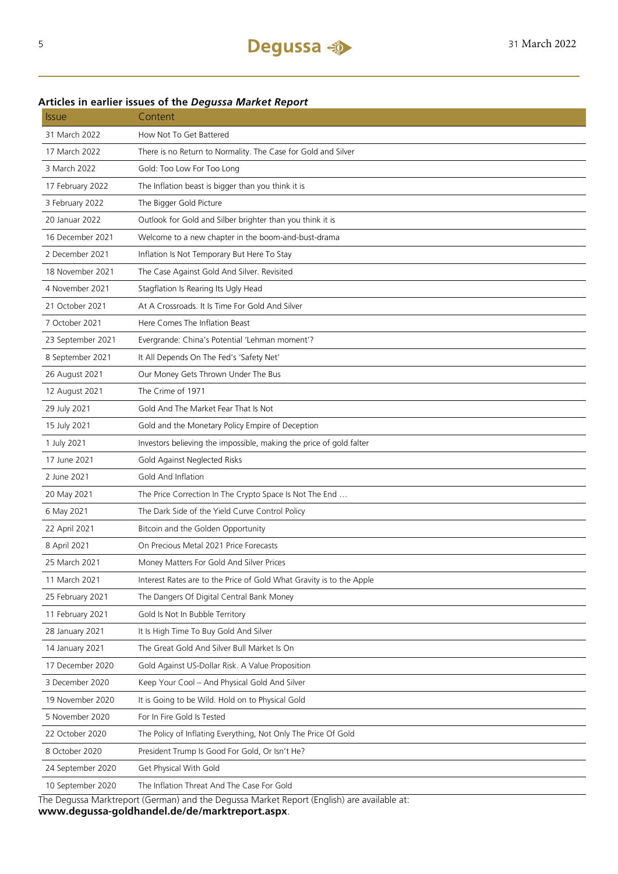### **Articles in earlier issues of the** *Degussa Market Report*

| <i><b>Issue</b></i> | Content                                                                                    |
|---------------------|--------------------------------------------------------------------------------------------|
| 31 March 2022       | How Not To Get Battered                                                                    |
| 17 March 2022       | There is no Return to Normality. The Case for Gold and Silver                              |
| 3 March 2022        | Gold: Too Low For Too Long                                                                 |
| 17 February 2022    | The Inflation beast is bigger than you think it is                                         |
| 3 February 2022     | The Bigger Gold Picture                                                                    |
| 20 Januar 2022      | Outlook for Gold and Silber brighter than you think it is                                  |
| 16 December 2021    | Welcome to a new chapter in the boom-and-bust-drama                                        |
| 2 December 2021     | Inflation Is Not Temporary But Here To Stay                                                |
| 18 November 2021    | The Case Against Gold And Silver. Revisited                                                |
| 4 November 2021     | Stagflation Is Rearing Its Ugly Head                                                       |
| 21 October 2021     | At A Crossroads. It Is Time For Gold And Silver                                            |
| 7 October 2021      | Here Comes The Inflation Beast                                                             |
| 23 September 2021   | Evergrande: China's Potential 'Lehman moment'?                                             |
| 8 September 2021    | It All Depends On The Fed's 'Safety Net'                                                   |
| 26 August 2021      | Our Money Gets Thrown Under The Bus                                                        |
| 12 August 2021      | The Crime of 1971                                                                          |
| 29 July 2021        | Gold And The Market Fear That Is Not                                                       |
| 15 July 2021        | Gold and the Monetary Policy Empire of Deception                                           |
| 1 July 2021         | Investors believing the impossible, making the price of gold falter                        |
| 17 June 2021        | Gold Against Neglected Risks                                                               |
| 2 June 2021         | Gold And Inflation                                                                         |
| 20 May 2021         | The Price Correction In The Crypto Space Is Not The End                                    |
| 6 May 2021          | The Dark Side of the Yield Curve Control Policy                                            |
| 22 April 2021       | Bitcoin and the Golden Opportunity                                                         |
| 8 April 2021        | On Precious Metal 2021 Price Forecasts                                                     |
| 25 March 2021       | Money Matters For Gold And Silver Prices                                                   |
| 11 March 2021       | Interest Rates are to the Price of Gold What Gravity is to the Apple                       |
| 25 February 2021    | The Dangers Of Digital Central Bank Money                                                  |
| 11 February 2021    | Gold Is Not In Bubble Territory                                                            |
| 28 January 2021     | It Is High Time To Buy Gold And Silver                                                     |
| 14 January 2021     | The Great Gold And Silver Bull Market Is On                                                |
| 17 December 2020    | Gold Against US-Dollar Risk. A Value Proposition                                           |
| 3 December 2020     | Keep Your Cool - And Physical Gold And Silver                                              |
| 19 November 2020    | It is Going to be Wild. Hold on to Physical Gold                                           |
| 5 November 2020     | For In Fire Gold Is Tested                                                                 |
| 22 October 2020     | The Policy of Inflating Everything, Not Only The Price Of Gold                             |
| 8 October 2020      | President Trump Is Good For Gold, Or Isn't He?                                             |
| 24 September 2020   | Get Physical With Gold                                                                     |
| 10 September 2020   | The Inflation Threat And The Case For Gold                                                 |
|                     | The Dequese Marktroport (German) and the Dequese Market Penert (English) are available at: |

The Degussa Marktreport (German) and the Degussa Market Report (English) are available at: **www.degussa-goldhandel.de/de/marktreport.aspx**.